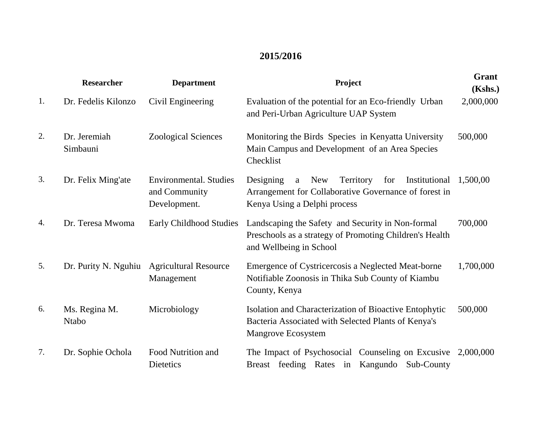## **2015/2016**

|    | <b>Researcher</b>             | <b>Department</b>                                              | Project                                                                                                                                                    | Grant<br>(Kshs.) |
|----|-------------------------------|----------------------------------------------------------------|------------------------------------------------------------------------------------------------------------------------------------------------------------|------------------|
| 1. | Dr. Fedelis Kilonzo           | Civil Engineering                                              | Evaluation of the potential for an Eco-friendly Urban<br>and Peri-Urban Agriculture UAP System                                                             | 2,000,000        |
| 2. | Dr. Jeremiah<br>Simbauni      | <b>Zoological Sciences</b>                                     | Monitoring the Birds Species in Kenyatta University<br>Main Campus and Development of an Area Species<br>Checklist                                         | 500,000          |
| 3. | Dr. Felix Ming'ate            | <b>Environmental.</b> Studies<br>and Community<br>Development. | Territory<br>for<br>Institutional<br>Designing<br><b>New</b><br>a<br>Arrangement for Collaborative Governance of forest in<br>Kenya Using a Delphi process | 1,500,00         |
| 4. | Dr. Teresa Mwoma              | Early Childhood Studies                                        | Landscaping the Safety and Security in Non-formal<br>Preschools as a strategy of Promoting Children's Health<br>and Wellbeing in School                    | 700,000          |
| 5. | Dr. Purity N. Nguhiu          | <b>Agricultural Resource</b><br>Management                     | Emergence of Cystricercosis a Neglected Meat-borne<br>Notifiable Zoonosis in Thika Sub County of Kiambu<br>County, Kenya                                   | 1,700,000        |
| 6. | Ms. Regina M.<br><b>Ntabo</b> | Microbiology                                                   | Isolation and Characterization of Bioactive Entophytic<br>Bacteria Associated with Selected Plants of Kenya's<br>Mangrove Ecosystem                        | 500,000          |
| 7. | Dr. Sophie Ochola             | Food Nutrition and<br>Dietetics                                | The Impact of Psychosocial Counseling on Excusive 2,000,000<br>Breast feeding Rates in Kangundo<br>Sub-County                                              |                  |